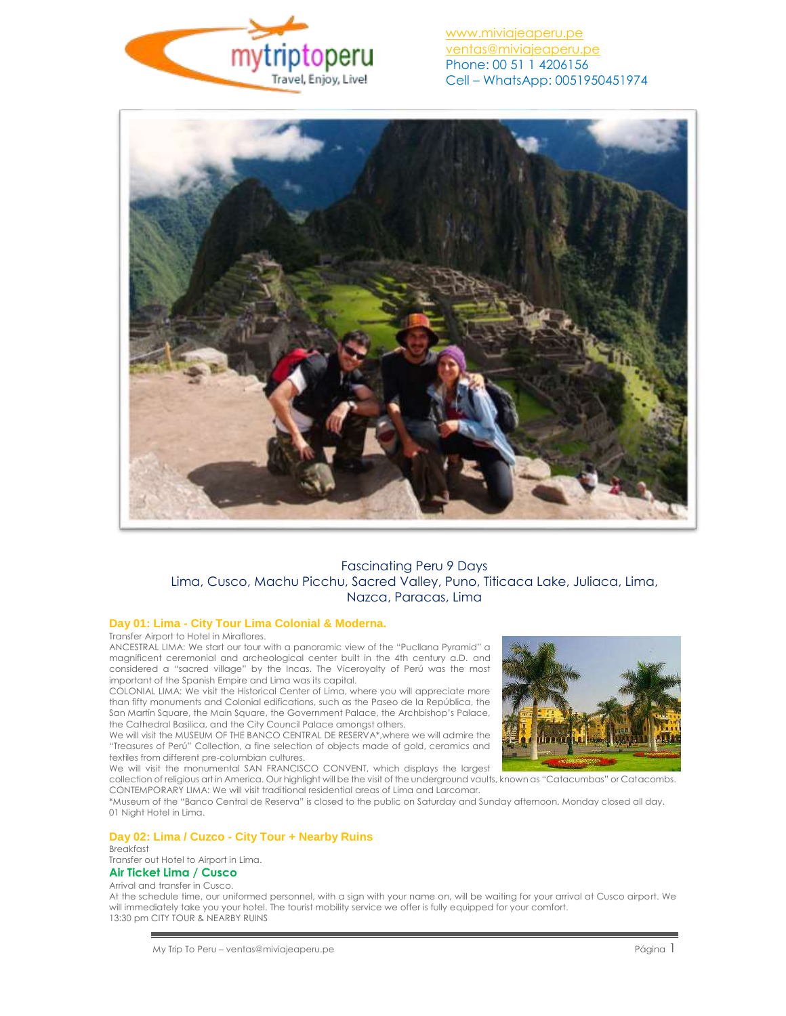



# Fascinating Peru 9 Days Lima, Cusco, Machu Picchu, Sacred Valley, Puno, Titicaca Lake, Juliaca, Lima, Nazca, Paracas, Lima

## **Day 01: Lima - City Tour Lima Colonial & Moderna.**

Transfer Airport to Hotel in Miraflores.

ANCESTRAL LIMA: We start our tour with a panoramic view of the "Pucllana Pyramid" a magnificent ceremonial and archeological center built in the 4th century a.D. and considered a "sacred village" by the Incas. The Viceroyalty of Perú was the most important of the Spanish Empire and Lima was its capital.

COLONIAL LIMA: We visit the Historical Center of Lima, where you will appreciate more than fifty monuments and Colonial edifications, such as the Paseo de la República, the San Martín Square, the Main Square, the Government Palace, the Archbishop's Palace, the Cathedral Basilica, and the City Council Palace amongst others.

We will visit the MUSEUM OF THE BANCO CENTRAL DE RESERVA\*, where we will admire the "Treasures of Perú" Collection, a fine selection of objects made of gold, ceramics and textiles from different pre-columbian cultures.

We will visit the monumental SAN FRANCISCO CONVENT, which displays the largest collection of religious art in America. Our highlight will be the visit of the underground vaults, known as "Catacumbas" or Catacombs.

CONTEMPORARY LIMA: We will visit traditional residential areas of Lima and Larcomar.

\*Museum of the "Banco Central de Reserva" is closed to the public on Saturday and Sunday afternoon. Monday closed all day. 01 Night Hotel in Lima.

## **Day 02: Lima / Cuzco - City Tour + Nearby Ruins**

Breakfast Transfer out Hotel to Airport in Lima. **Air Ticket Lima / Cusco**

### Arrival and transfer in Cusco.

At the schedule time, our uniformed personnel, with a sign with your name on, will be waiting for your arrival at Cusco airport. We will immediately take you your hotel. The tourist mobility service we offer is fully equipped for your comfort. 13:30 pm CITY TOUR & NEARBY RUINS

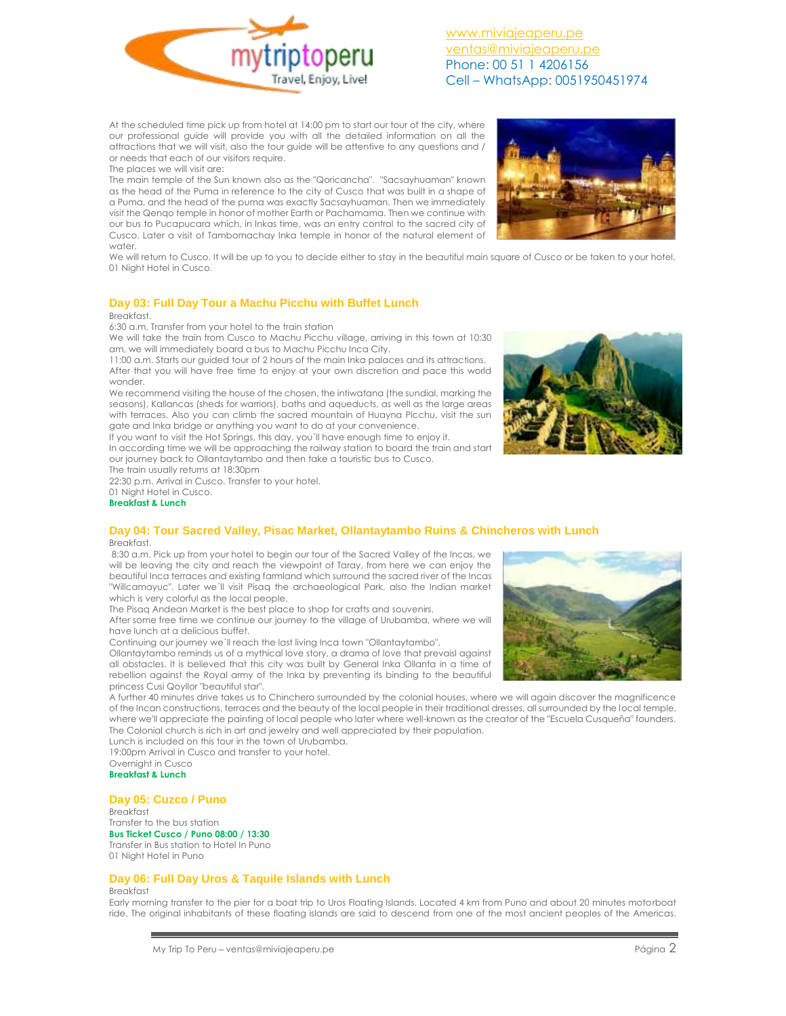

At the scheduled time pick up from hotel at 14:00 pm to start our tour of the city, where our professional guide will provide you with all the detailed information on all the attractions that we will visit, also the tour guide will be attentive to any questions and / or needs that each of our visitors require.

The places we will visit are:

The main temple of the Sun known also as the "Qoricancha". "Sacsayhuaman" known as the head of the Puma in reference to the city of Cusco that was built in a shape of a Puma, and the head of the puma was exactly Sacsayhuaman. Then we immediately visit the Qenqo temple in honor of mother Earth or Pachamama. Then we continue with our bus to Pucapucara which, in Inkas time, was an entry control to the sacred city of Cusco. Later a visit of Tambomachay Inka temple in honor of the natural element of water.



We will return to Cusco. It will be up to you to decide either to stay in the beautiful main square of Cusco or be taken to your hotel. 01 Night Hotel in Cusco.

## **Day 03: Full Day Tour a Machu Picchu with Buffet Lunch**

### Breakfast.

6:30 a.m. Transfer from your hotel to the train station

We will take the train from Cusco to Machu Picchu village, arriving in this town at 10:30 am, we will immediately board a bus to Machu Picchu Inca City.

11:00 a.m. Starts our guided tour of 2 hours of the main Inka palaces and its attractions. After that you will have free time to enjoy at your own discretion and pace this world wonder.

We recommend visiting the house of the chosen, the intiwatana (the sundial, marking the seasons), Kallancas (sheds for warriors), baths and aqueducts, as well as the large areas with terraces. Also you can climb the sacred mountain of Huayna Picchu, visit the sun gate and Inka bridge or anything you want to do at your convenience.

If you want to visit the Hot Springs, this day, you´ll have enough time to enjoy it. In according time we will be approaching the railway station to board the train and start our journey back to Ollantaytambo and then take a touristic bus to Cusco.

The train usually returns at 18:30pm

22:30 p.m. Arrival in Cusco. Transfer to your hotel.

01 Night Hotel in Cusco. **Breakfast & Lunch**

## **Day 04: Tour Sacred Valley, Pisac Market, Ollantaytambo Ruins & Chincheros with Lunch Breakfast**

8:30 a.m. Pick up from your hotel to begin our tour of the Sacred Valley of the Incas, we will be leaving the city and reach the viewpoint of Taray, from here we can enjoy the beautiful Inca terraces and existing farmland which surround the sacred river of the Incas "Willcamayuc". Later we´ll visit Pisaq the archaeological Park, also the Indian market which is very colorful as the local people.

The Pisaq Andean Market is the best place to shop for crafts and souvenirs.

After some free time we continue our journey to the village of Urubamba, where we will have lunch at a delicious buffet.

Continuing our journey we´ll reach the last living Inca town "Ollantaytambo".

Ollantaytambo reminds us of a mythical love story, a drama of love that prevaisl against all obstacles. It is believed that this city was built by General Inka Ollanta in a time of rebellion against the Royal army of the Inka by preventing its binding to the beautiful princess Cusi Qoyllor "beautiful star".

A further 40 minutes drive takes us to Chinchero surrounded by the colonial houses, where we will again discover the magnificence of the Incan constructions, terraces and the beauty of the local people in their traditional dresses, all surrounded by the local temple, where we'll appreciate the painting of local people who later where well-known as the creator of the "Escuela Cusqueña" founders. The Colonial church is rich in art and jewelry and well appreciated by their population.

Lunch is included on this tour in the town of Urubamba.

19:00pm Arrival in Cusco and transfer to your hotel. Overnight in Cusco

**Breakfast & Lunch**

## **Day 05: Cuzco / Puno**

Breakfast Transfer to the bus station **Bus Ticket Cusco / Puno 08:00 / 13:30** Transfer in Bus station to Hotel In Puno 01 Night Hotel in Puno

## **Day 06: Full Day Uros & Taquile Islands with Lunch**

### Breakfast

Early morning transfer to the pier for a boat trip to Uros Floating Islands. Located 4 km from Puno and about 20 minutes motorboat ride. The original inhabitants of these floating islands are said to descend from one of the most ancient peoples of the Americas.



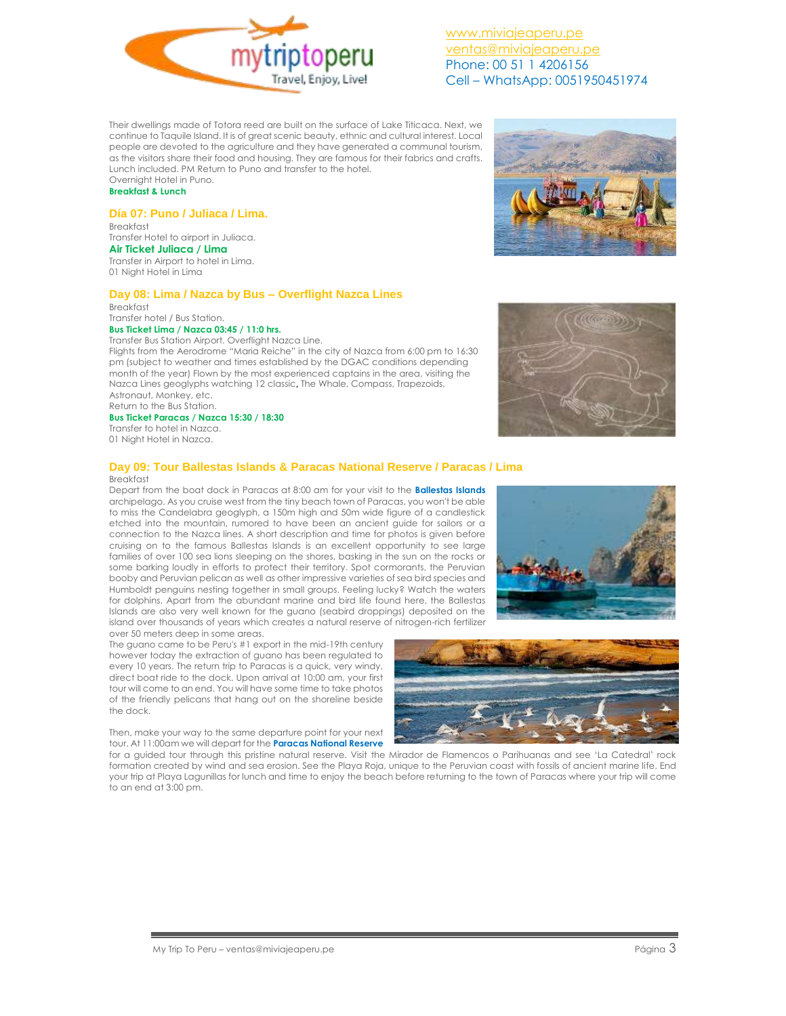

Their dwellings made of Totora reed are built on the surface of Lake Titicaca. Next, we continue to Taquile Island. It is of great scenic beauty, ethnic and cultural interest. Local people are devoted to the agriculture and they have generated a communal tourism, as the visitors share their food and housing. They are famous for their fabrics and crafts. Lunch included. PM Return to Puno and transfer to the hotel. Overnight Hotel in Puno.

## **Breakfast & Lunch**

## **Día 07: Puno / Juliaca / Lima.**

Breakfast Transfer Hotel to airport in Juliaca. **Air Ticket Juliaca / Lima** Transfer in Airport to hotel in Lima. 01 Night Hotel in Lima

## **Day 08: Lima / Nazca by Bus – Overflight Nazca Lines**

Breakfast Transfer hotel / Bus Station.

## **Bus Ticket Lima / Nazca 03:45 / 11:0 hrs.**

Transfer Bus Station Airport. Overflight Nazca Line.

Flights from the Aerodrome "Maria Reiche" in the city of Nazca from 6:00 pm to 16:30 pm (subject to weather and times established by the DGAC conditions depending month of the year) Flown by the most experienced captains in the area, visiting the Nazca Lines geoglyphs watching 12 classic, The Whale, Compass, Trapezoids, Astronaut, Monkey, etc. Return to the Bus Station.

## **Bus Ticket Paracas / Nazca 15:30 / 18:30**

Transfer to hotel in Nazca. 01 Night Hotel in Nazca.

### **Day 09: Tour Ballestas Islands & Paracas National Reserve / Paracas / Lima** Breakfast

Depart from the boat dock in Paracas at 8:00 am for your visit to the **Ballestas Islands** archipelago. As you cruise west from the tiny beach town of Paracas, you won't be able to miss the Candelabra geoglyph, a 150m high and 50m wide figure of a candlestick etched into the mountain, rumored to have been an ancient guide for sailors or a connection to the Nazca lines. A short description and time for photos is given before cruising on to the famous Ballestas Islands is an excellent opportunity to see large families of over 100 sea lions sleeping on the shores, basking in the sun on the rocks or some barking loudly in efforts to protect their territory. Spot cormorants, the Peruvian booby and Peruvian pelican as well as other impressive varieties of sea bird species and Humboldt penguins nesting together in small groups. Feeling lucky? Watch the waters for dolphins. Apart from the abundant marine and bird life found here, the Ballestas Islands are also very well known for the guano (seabird droppings) deposited on the island over thousands of years which creates a natural reserve of nitrogen-rich fertilizer over 50 meters deep in some areas.

The guano came to be Peru's #1 export in the mid-19th century however today the extraction of guano has been regulated to every 10 years. The return trip to Paracas is a quick, very windy, direct boat ride to the dock. Upon arrival at 10:00 am, your first tour will come to an end. You will have some time to take photos of the friendly pelicans that hang out on the shoreline beside the dock.

Then, make your way to the same departure point for your next tour. At 11:00am we will depart for the **Paracas National Reserve**

for a guided tour through this pristine natural reserve. Visit the Mirador de Flamencos o Parihuanas and see 'La Catedral' rock formation created by wind and sea erosion. See the Playa Roja, unique to the Peruvian coast with fossils of ancient marine life. End your trip at Playa Lagunillas for lunch and time to enjoy the beach before returning to the town of Paracas where your trip will come to an end at 3:00 pm.







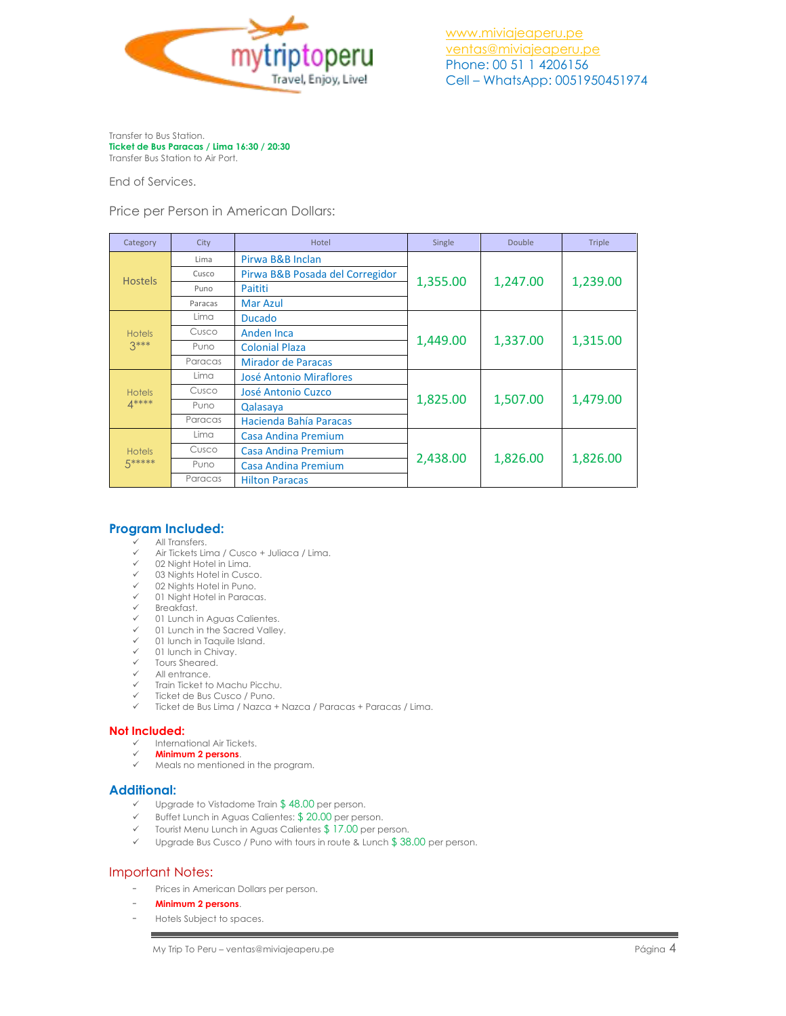

Transfer to Bus Station. **Ticket de Bus Paracas / Lima 16:30 / 20:30** Transfer Bus Station to Air Port.

End of Services.

Price per Person in American Dollars:

| Category                 | City    | Hotel                           | Single   | Double   | Triple   |
|--------------------------|---------|---------------------------------|----------|----------|----------|
| <b>Hostels</b>           | Lima    | Pirwa B&B Inclan                | 1,355.00 | 1,247.00 | 1,239.00 |
|                          | Cusco   | Pirwa B&B Posada del Corregidor |          |          |          |
|                          | Puno    | Paititi                         |          |          |          |
|                          | Paracas | Mar Azul                        |          |          |          |
| <b>Hotels</b><br>$3***$  | Lima    | <b>Ducado</b>                   | 1,449.00 | 1,337.00 | 1,315.00 |
|                          | Cusco   | <b>Anden Inca</b>               |          |          |          |
|                          | Puno    | <b>Colonial Plaza</b>           |          |          |          |
|                          | Paracas | Mirador de Paracas              |          |          |          |
| <b>Hotels</b><br>$4***$  | Lima    | <b>José Antonio Miraflores</b>  | 1,825.00 | 1,507.00 | 1,479.00 |
|                          | Cusco   | <b>José Antonio Cuzco</b>       |          |          |          |
|                          | Puno    | Qalasaya                        |          |          |          |
|                          | Paracas | Hacienda Bahía Paracas          |          |          |          |
| <b>Hotels</b><br>5 ***** | Lima    | Casa Andina Premium             | 2,438.00 | 1,826.00 | 1,826.00 |
|                          | Cusco   | Casa Andina Premium             |          |          |          |
|                          | Puno    | Casa Andina Premium             |          |          |          |
|                          | Paracas | <b>Hilton Paracas</b>           |          |          |          |

# **Program Included:**

- All Transfers.
- $\checkmark$  Air Tickets Lima / Cusco + Juliaca / Lima.
- 02 Night Hotel in Lima.
- 03 Nights Hotel in Cusco.
- 02 Nights Hotel in Puno. 01 Night Hotel in Paracas.
- $\checkmark$  Breakfast.
- 
- $\checkmark$  01 Lunch in Aguas Calientes.<br> $\checkmark$  01 Lunch in the Sacred Valley 01 Lunch in the Sacred Valley.
- $\checkmark$  01 lunch in Taquile Island.<br> $\checkmark$  01 lunch in Chivay.
- 
- $\checkmark$  01 lunch in Chivay.<br> $\checkmark$  Tours Sheared Tours Sheared.
- All entrance.
- $\checkmark$  Train Ticket to Machu Picchu.
- Ticket de Bus Cusco / Puno.
- Ticket de Bus Lima / Nazca + Nazca / Paracas + Paracas / Lima.

### **Not Included:**

- International Air Tickets.
- **Minimum 2 persons**.
- Meals no mentioned in the program.

# **Additional:**

- $\checkmark$  Upgrade to Vistadome Train \$48.00 per person.
- $\checkmark$  Buffet Lunch in Aguas Calientes: \$ 20.00 per person.
- $\checkmark$  Tourist Menu Lunch in Aguas Calientes \$17.00 per person.
- $\checkmark$  Upgrade Bus Cusco / Puno with tours in route & Lunch \$38.00 per person.

## Important Notes:

- Prices in American Dollars per person.
- **Minimum 2 persons**.
- Hotels Subject to spaces.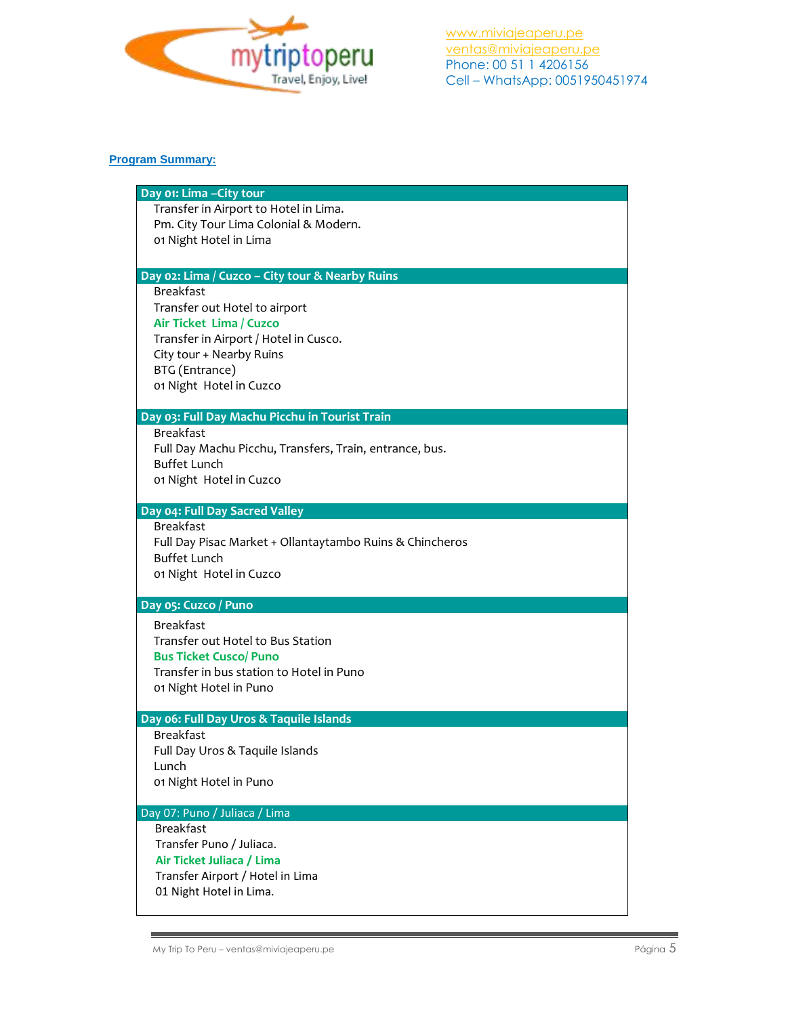

# **Program Summary:**

| Day 01: Lima - City tour<br>Transfer in Airport to Hotel in Lima.<br>Pm. City Tour Lima Colonial & Modern.<br>01 Night Hotel in Lima<br>Day 02: Lima / Cuzco - City tour & Nearby Ruins<br><b>Breakfast</b><br>Transfer out Hotel to airport<br>Air Ticket Lima / Cuzco<br>Transfer in Airport / Hotel in Cusco.<br>City tour + Nearby Ruins<br>BTG (Entrance)<br>01 Night Hotel in Cuzco<br>Day 03: Full Day Machu Picchu in Tourist Train<br><b>Breakfast</b><br>Full Day Machu Picchu, Transfers, Train, entrance, bus. |
|----------------------------------------------------------------------------------------------------------------------------------------------------------------------------------------------------------------------------------------------------------------------------------------------------------------------------------------------------------------------------------------------------------------------------------------------------------------------------------------------------------------------------|
|                                                                                                                                                                                                                                                                                                                                                                                                                                                                                                                            |
|                                                                                                                                                                                                                                                                                                                                                                                                                                                                                                                            |
|                                                                                                                                                                                                                                                                                                                                                                                                                                                                                                                            |
|                                                                                                                                                                                                                                                                                                                                                                                                                                                                                                                            |
|                                                                                                                                                                                                                                                                                                                                                                                                                                                                                                                            |
|                                                                                                                                                                                                                                                                                                                                                                                                                                                                                                                            |
|                                                                                                                                                                                                                                                                                                                                                                                                                                                                                                                            |
|                                                                                                                                                                                                                                                                                                                                                                                                                                                                                                                            |
|                                                                                                                                                                                                                                                                                                                                                                                                                                                                                                                            |
|                                                                                                                                                                                                                                                                                                                                                                                                                                                                                                                            |
|                                                                                                                                                                                                                                                                                                                                                                                                                                                                                                                            |
|                                                                                                                                                                                                                                                                                                                                                                                                                                                                                                                            |
|                                                                                                                                                                                                                                                                                                                                                                                                                                                                                                                            |
|                                                                                                                                                                                                                                                                                                                                                                                                                                                                                                                            |
|                                                                                                                                                                                                                                                                                                                                                                                                                                                                                                                            |
| <b>Buffet Lunch</b>                                                                                                                                                                                                                                                                                                                                                                                                                                                                                                        |
| 01 Night Hotel in Cuzco                                                                                                                                                                                                                                                                                                                                                                                                                                                                                                    |
|                                                                                                                                                                                                                                                                                                                                                                                                                                                                                                                            |
| Day 04: Full Day Sacred Valley                                                                                                                                                                                                                                                                                                                                                                                                                                                                                             |
| <b>Breakfast</b>                                                                                                                                                                                                                                                                                                                                                                                                                                                                                                           |
| Full Day Pisac Market + Ollantaytambo Ruins & Chincheros<br><b>Buffet Lunch</b>                                                                                                                                                                                                                                                                                                                                                                                                                                            |
| 01 Night Hotel in Cuzco                                                                                                                                                                                                                                                                                                                                                                                                                                                                                                    |
|                                                                                                                                                                                                                                                                                                                                                                                                                                                                                                                            |
| Day 05: Cuzco / Puno                                                                                                                                                                                                                                                                                                                                                                                                                                                                                                       |
| <b>Breakfast</b>                                                                                                                                                                                                                                                                                                                                                                                                                                                                                                           |
| Transfer out Hotel to Bus Station                                                                                                                                                                                                                                                                                                                                                                                                                                                                                          |
| <b>Bus Ticket Cusco/ Puno</b>                                                                                                                                                                                                                                                                                                                                                                                                                                                                                              |
| Transfer in bus station to Hotel in Puno                                                                                                                                                                                                                                                                                                                                                                                                                                                                                   |
| 01 Night Hotel in Puno                                                                                                                                                                                                                                                                                                                                                                                                                                                                                                     |
|                                                                                                                                                                                                                                                                                                                                                                                                                                                                                                                            |
| Day 06: Full Day Uros & Taquile Islands<br><b>Breakfast</b>                                                                                                                                                                                                                                                                                                                                                                                                                                                                |
| Full Day Uros & Taquile Islands                                                                                                                                                                                                                                                                                                                                                                                                                                                                                            |
| Lunch                                                                                                                                                                                                                                                                                                                                                                                                                                                                                                                      |
| 01 Night Hotel in Puno                                                                                                                                                                                                                                                                                                                                                                                                                                                                                                     |
|                                                                                                                                                                                                                                                                                                                                                                                                                                                                                                                            |
|                                                                                                                                                                                                                                                                                                                                                                                                                                                                                                                            |
| Day 07: Puno / Juliaca / Lima                                                                                                                                                                                                                                                                                                                                                                                                                                                                                              |
| <b>Breakfast</b>                                                                                                                                                                                                                                                                                                                                                                                                                                                                                                           |
| Transfer Puno / Juliaca.                                                                                                                                                                                                                                                                                                                                                                                                                                                                                                   |
| Air Ticket Juliaca / Lima                                                                                                                                                                                                                                                                                                                                                                                                                                                                                                  |
| Transfer Airport / Hotel in Lima<br>01 Night Hotel in Lima.                                                                                                                                                                                                                                                                                                                                                                                                                                                                |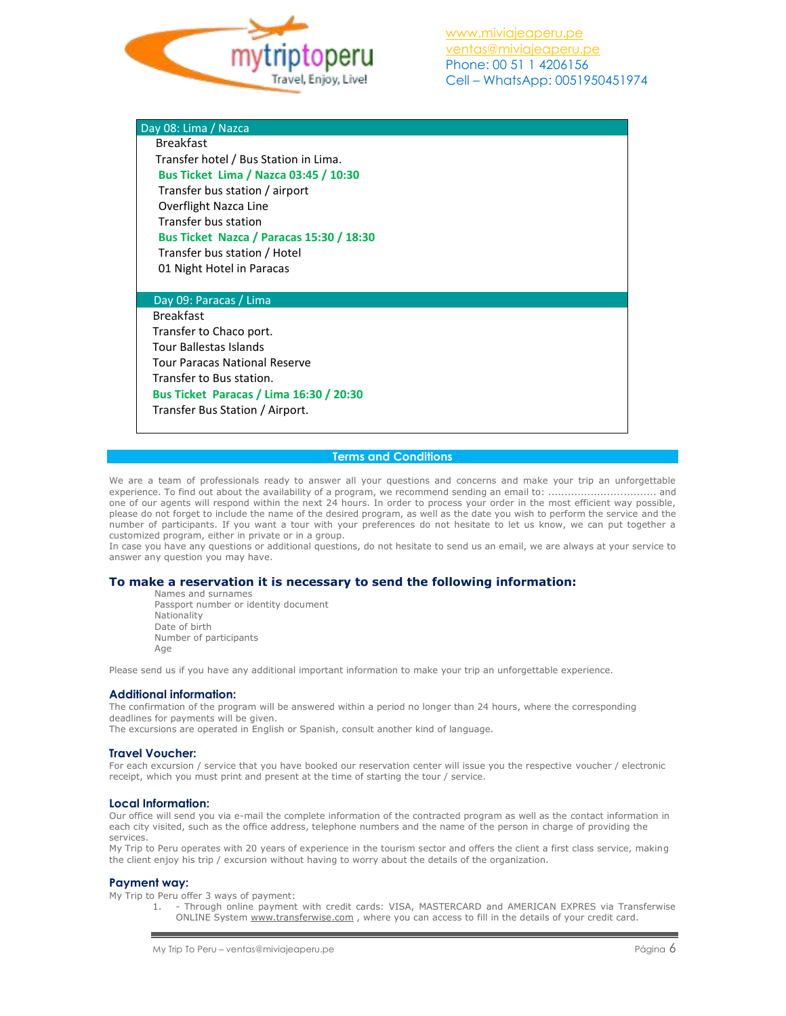

| Day 08: Lima / Nazca                            |
|-------------------------------------------------|
| <b>Breakfast</b>                                |
| Transfer hotel / Bus Station in Lima.           |
| <b>Bus Ticket Lima / Nazca 03:45 / 10:30</b>    |
| Transfer bus station / airport                  |
| Overflight Nazca Line                           |
| Transfer bus station                            |
| <b>Bus Ticket Nazca / Paracas 15:30 / 18:30</b> |
| Transfer bus station / Hotel                    |
| 01 Night Hotel in Paracas                       |
|                                                 |
| Day 09: Paracas / Lima                          |
| <b>Breakfast</b>                                |
| Transfer to Chaco port.                         |
| <b>Tour Ballestas Islands</b>                   |
| <b>Tour Paracas National Reserve</b>            |
| Transfer to Bus station.                        |
| <b>Bus Ticket Paracas / Lima 16:30 / 20:30</b>  |
| Transfer Bus Station / Airport.                 |
|                                                 |

### **Terms and Conditions**

We are a team of professionals ready to answer all your questions and concerns and make your trip an unforgettable experience. To find out about the availability of a program, we recommend sending an email to: ................................. and one of our agents will respond within the next 24 hours. In order to process your order in the most efficient way possible, please do not forget to include the name of the desired program, as well as the date you wish to perform the service and the number of participants. If you want a tour with your preferences do not hesitate to let us know, we can put together a customized program, either in private or in a group.

In case you have any questions or additional questions, do not hesitate to send us an email, we are always at your service to answer any question you may have.

### **To make a reservation it is necessary to send the following information:**

Names and surnames Passport number or identity document Nationality Date of birth Number of participants Age

Please send us if you have any additional important information to make your trip an unforgettable experience.

### **Additional information:**

The confirmation of the program will be answered within a period no longer than 24 hours, where the corresponding deadlines for payments will be given.

The excursions are operated in English or Spanish, consult another kind of language.

### **Travel Voucher:**

For each excursion / service that you have booked our reservation center will issue you the respective voucher / electronic receipt, which you must print and present at the time of starting the tour / service.

### **Local Information:**

Our office will send you via e-mail the complete information of the contracted program as well as the contact information in each city visited, such as the office address, telephone numbers and the name of the person in charge of providing the services.

My Trip to Peru operates with 20 years of experience in the tourism sector and offers the client a first class service, making the client enjoy his trip / excursion without having to worry about the details of the organization.

### **Payment way:**

My Trip to Peru offer 3 ways of payment:

1. - Through online payment with credit cards: VISA, MASTERCARD and AMERICAN EXPRES via Transferwise ONLINE System [www.transferwise.com](http://www.transferwise.com/) , where you can access to fill in the details of your credit card.